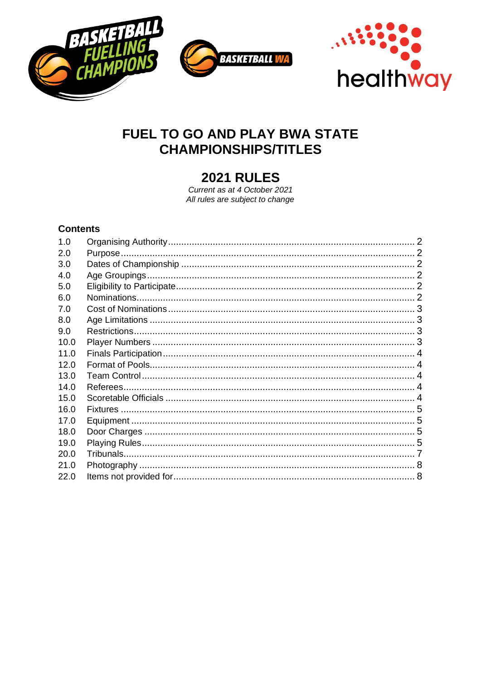



# FUEL TO GO AND PLAY BWA STATE **CHAMPIONSHIPS/TITLES**

# **2021 RULES**

Current as at 4 October 2021 All rules are subject to change

# **Contents**

| 1.0  |  |
|------|--|
| 2.0  |  |
| 3.0  |  |
| 4.0  |  |
| 5.0  |  |
| 6.0  |  |
| 7.0  |  |
| 8.0  |  |
| 9.0  |  |
| 10.0 |  |
| 11.0 |  |
| 12.0 |  |
| 13.0 |  |
| 14.0 |  |
| 15.0 |  |
| 16.0 |  |
| 17.0 |  |
| 18.0 |  |
| 19.0 |  |
| 20.0 |  |
| 21.0 |  |
| 22.0 |  |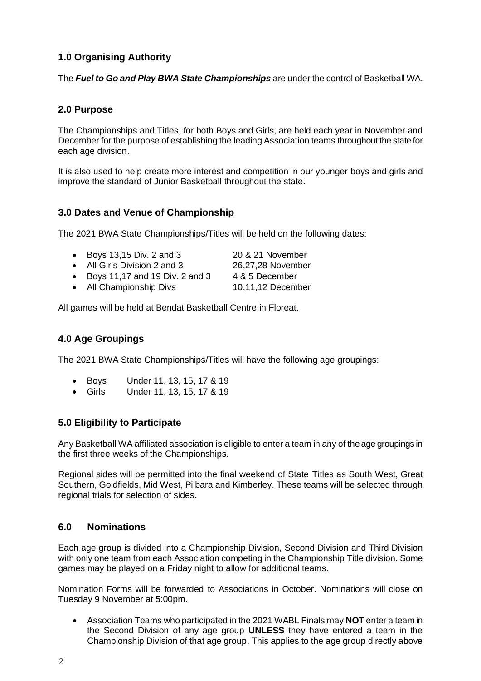# <span id="page-1-0"></span>**1.0 Organising Authority**

The *Fuel to Go and Play BWA State Championships* are under the control of Basketball WA.

## <span id="page-1-1"></span>**2.0 Purpose**

The Championships and Titles, for both Boys and Girls, are held each year in November and December for the purpose of establishing the leading Association teams throughout the state for each age division.

It is also used to help create more interest and competition in our younger boys and girls and improve the standard of Junior Basketball throughout the state.

## <span id="page-1-2"></span>**3.0 Dates and Venue of Championship**

The 2021 BWA State Championships/Titles will be held on the following dates:

| • Boys 13,15 Div. 2 and 3    | 20 & 21 November  |
|------------------------------|-------------------|
| • All Girls Division 2 and 3 | 26,27,28 November |

• Boys 11,17 and 19 Div. 2 and 3 4 & 5 December

• All Championship Divs 10,11,12 December

All games will be held at Bendat Basketball Centre in Floreat.

## <span id="page-1-3"></span>**4.0 Age Groupings**

The 2021 BWA State Championships/Titles will have the following age groupings:

- Boys Under 11, 13, 15, 17 & 19
- Girls Under 11, 13, 15, 17 & 19

## <span id="page-1-4"></span>**5.0 Eligibility to Participate**

Any Basketball WA affiliated association is eligible to enter a team in any of the age groupings in the first three weeks of the Championships.

Regional sides will be permitted into the final weekend of State Titles as South West, Great Southern, Goldfields, Mid West, Pilbara and Kimberley. These teams will be selected through regional trials for selection of sides.

### <span id="page-1-5"></span>**6.0 Nominations**

Each age group is divided into a Championship Division, Second Division and Third Division with only one team from each Association competing in the Championship Title division. Some games may be played on a Friday night to allow for additional teams.

Nomination Forms will be forwarded to Associations in October. Nominations will close on Tuesday 9 November at 5:00pm.

• Association Teams who participated in the 2021 WABL Finals may **NOT** enter a team in the Second Division of any age group **UNLESS** they have entered a team in the Championship Division of that age group. This applies to the age group directly above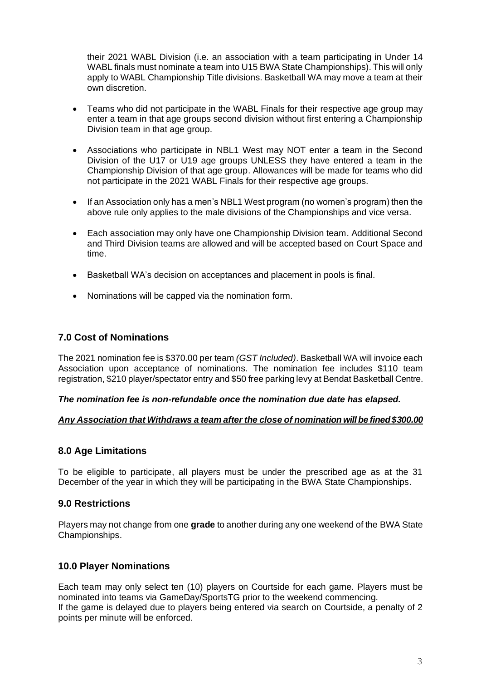their 2021 WABL Division (i.e. an association with a team participating in Under 14 WABL finals must nominate a team into U15 BWA State Championships). This will only apply to WABL Championship Title divisions. Basketball WA may move a team at their own discretion.

- Teams who did not participate in the WABL Finals for their respective age group may enter a team in that age groups second division without first entering a Championship Division team in that age group.
- Associations who participate in NBL1 West may NOT enter a team in the Second Division of the U17 or U19 age groups UNLESS they have entered a team in the Championship Division of that age group. Allowances will be made for teams who did not participate in the 2021 WABL Finals for their respective age groups.
- If an Association only has a men's NBL1 West program (no women's program) then the above rule only applies to the male divisions of the Championships and vice versa.
- Each association may only have one Championship Division team. Additional Second and Third Division teams are allowed and will be accepted based on Court Space and time.
- Basketball WA's decision on acceptances and placement in pools is final.
- Nominations will be capped via the nomination form.

### <span id="page-2-0"></span>**7.0 Cost of Nominations**

The 2021 nomination fee is \$370.00 per team *(GST Included)*. Basketball WA will invoice each Association upon acceptance of nominations. The nomination fee includes \$110 team registration, \$210 player/spectator entry and \$50 free parking levy at Bendat Basketball Centre.

#### *The nomination fee is non-refundable once the nomination due date has elapsed.*

### *Any Association that Withdraws a team after the close of nomination will be fined \$300.00*

### <span id="page-2-1"></span>**8.0 Age Limitations**

To be eligible to participate, all players must be under the prescribed age as at the 31 December of the year in which they will be participating in the BWA State Championships.

### <span id="page-2-2"></span>**9.0 Restrictions**

Players may not change from one **grade** to another during any one weekend of the BWA State Championships.

### <span id="page-2-3"></span>**10.0 Player Nominations**

Each team may only select ten (10) players on Courtside for each game. Players must be nominated into teams via GameDay/SportsTG prior to the weekend commencing. If the game is delayed due to players being entered via search on Courtside, a penalty of 2 points per minute will be enforced.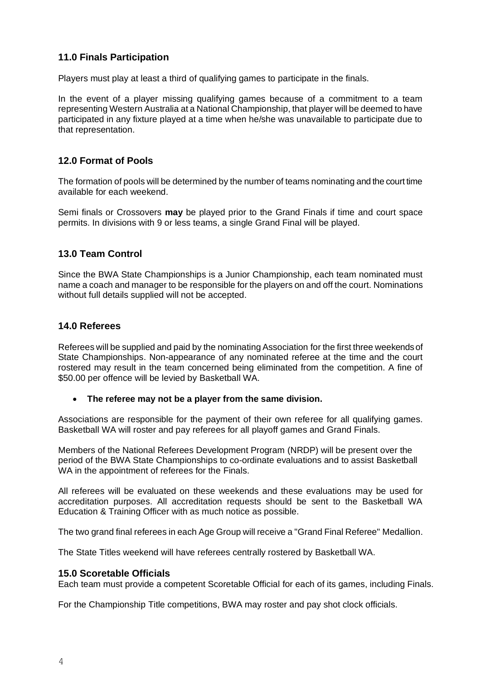## <span id="page-3-0"></span>**11.0 Finals Participation**

Players must play at least a third of qualifying games to participate in the finals.

In the event of a player missing qualifying games because of a commitment to a team representing Western Australia at a National Championship, that player will be deemed to have participated in any fixture played at a time when he/she was unavailable to participate due to that representation.

## <span id="page-3-1"></span>**12.0 Format of Pools**

The formation of pools will be determined by the number of teams nominating and the court time available for each weekend.

Semi finals or Crossovers **may** be played prior to the Grand Finals if time and court space permits. In divisions with 9 or less teams, a single Grand Final will be played.

## <span id="page-3-2"></span>**13.0 Team Control**

Since the BWA State Championships is a Junior Championship, each team nominated must name a coach and manager to be responsible for the players on and off the court. Nominations without full details supplied will not be accepted.

#### <span id="page-3-3"></span>**14.0 Referees**

Referees will be supplied and paid by the nominating Association for the first three weekends of State Championships. Non-appearance of any nominated referee at the time and the court rostered may result in the team concerned being eliminated from the competition. A fine of \$50.00 per offence will be levied by Basketball WA.

#### • **The referee may not be a player from the same division.**

Associations are responsible for the payment of their own referee for all qualifying games. Basketball WA will roster and pay referees for all playoff games and Grand Finals.

Members of the National Referees Development Program (NRDP) will be present over the period of the BWA State Championships to co-ordinate evaluations and to assist Basketball WA in the appointment of referees for the Finals.

All referees will be evaluated on these weekends and these evaluations may be used for accreditation purposes. All accreditation requests should be sent to the Basketball WA Education & Training Officer with as much notice as possible.

The two grand final referees in each Age Group will receive a "Grand Final Referee" Medallion.

The State Titles weekend will have referees centrally rostered by Basketball WA.

#### <span id="page-3-4"></span>**15.0 Scoretable Officials**

Each team must provide a competent Scoretable Official for each of its games, including Finals.

For the Championship Title competitions, BWA may roster and pay shot clock officials.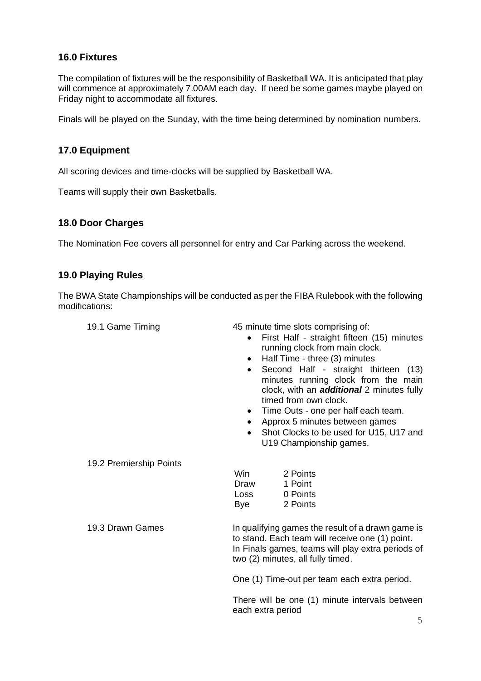## <span id="page-4-0"></span>**16.0 Fixtures**

The compilation of fixtures will be the responsibility of Basketball WA. It is anticipated that play will commence at approximately 7.00AM each day. If need be some games maybe played on Friday night to accommodate all fixtures.

Finals will be played on the Sunday, with the time being determined by nomination numbers.

## <span id="page-4-1"></span>**17.0 Equipment**

All scoring devices and time-clocks will be supplied by Basketball WA.

Teams will supply their own Basketballs.

## <span id="page-4-2"></span>**18.0 Door Charges**

The Nomination Fee covers all personnel for entry and Car Parking across the weekend.

## <span id="page-4-3"></span>**19.0 Playing Rules**

The BWA State Championships will be conducted as per the FIBA Rulebook with the following modifications:

| 19.1 Game Timing |  |  |  |
|------------------|--|--|--|
|------------------|--|--|--|

45 minute time slots comprising of:

- First Half straight fifteen (15) minutes running clock from main clock.
- Half Time three (3) minutes
- Second Half straight thirteen (13) minutes running clock from the main clock, with an *additional* 2 minutes fully timed from own clock.
- Time Outs one per half each team.
- Approx 5 minutes between games
- Shot Clocks to be used for U15, U17 and U19 Championship games.

19.2 Premiership Points

| Win  | 2 Points |
|------|----------|
| Draw | 1 Point  |
| Loss | 0 Points |
| Bye  | 2 Points |

19.3 Drawn Games **In qualifying games the result of a drawn game is** to stand. Each team will receive one (1) point. In Finals games, teams will play extra periods of two (2) minutes, all fully timed.

One (1) Time-out per team each extra period.

There will be one (1) minute intervals between each extra period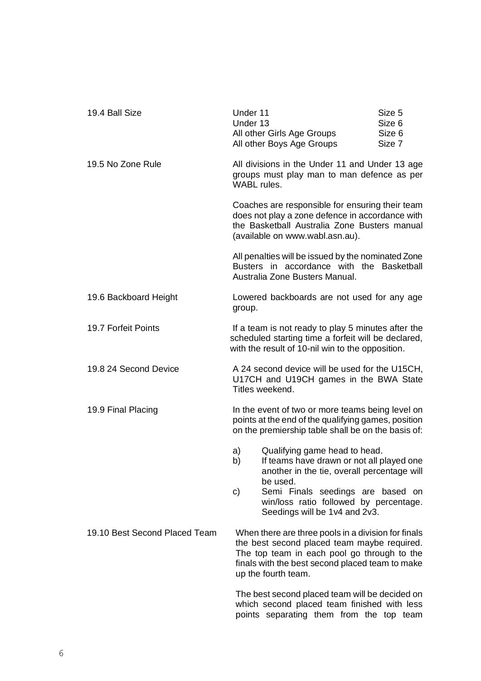| 19.4 Ball Size                | Under 11<br>Under 13                                                                                                                                                                                                        | All other Girls Age Groups<br>All other Boys Age Groups                                                                                                                               | Size 5<br>Size 6<br>Size 6<br>Size 7 |
|-------------------------------|-----------------------------------------------------------------------------------------------------------------------------------------------------------------------------------------------------------------------------|---------------------------------------------------------------------------------------------------------------------------------------------------------------------------------------|--------------------------------------|
| 19.5 No Zone Rule             | All divisions in the Under 11 and Under 13 age<br>groups must play man to man defence as per<br><b>WABL</b> rules.                                                                                                          |                                                                                                                                                                                       |                                      |
|                               |                                                                                                                                                                                                                             | Coaches are responsible for ensuring their team<br>does not play a zone defence in accordance with<br>the Basketball Australia Zone Busters manual<br>(available on www.wabl.asn.au). |                                      |
|                               |                                                                                                                                                                                                                             | All penalties will be issued by the nominated Zone<br>Busters in accordance with the Basketball<br>Australia Zone Busters Manual.                                                     |                                      |
| 19.6 Backboard Height         | Lowered backboards are not used for any age<br>group.                                                                                                                                                                       |                                                                                                                                                                                       |                                      |
| 19.7 Forfeit Points           | If a team is not ready to play 5 minutes after the<br>scheduled starting time a forfeit will be declared,<br>with the result of 10-nil win to the opposition.                                                               |                                                                                                                                                                                       |                                      |
| 19.8 24 Second Device         | A 24 second device will be used for the U15CH,<br>U17CH and U19CH games in the BWA State<br>Titles weekend.                                                                                                                 |                                                                                                                                                                                       |                                      |
| 19.9 Final Placing            |                                                                                                                                                                                                                             | In the event of two or more teams being level on<br>points at the end of the qualifying games, position<br>on the premiership table shall be on the basis of:                         |                                      |
|                               | a)<br>b)                                                                                                                                                                                                                    | Qualifying game head to head.<br>If teams have drawn or not all played one<br>another in the tie, overall percentage will                                                             |                                      |
|                               | C)                                                                                                                                                                                                                          | be used.<br>Semi Finals seedings are based on<br>win/loss ratio followed by percentage.<br>Seedings will be 1v4 and 2v3.                                                              |                                      |
| 19.10 Best Second Placed Team | When there are three pools in a division for finals<br>the best second placed team maybe required.<br>The top team in each pool go through to the<br>finals with the best second placed team to make<br>up the fourth team. |                                                                                                                                                                                       |                                      |
|                               |                                                                                                                                                                                                                             | The best second placed team will be decided on<br>which second placed team finished with less<br>points separating them from the top team                                             |                                      |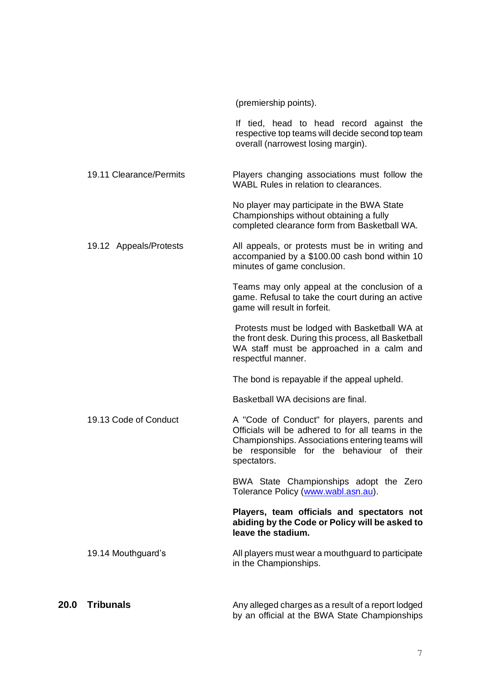<span id="page-6-0"></span>

|      |                         | (premiership points).                                                                                                                                                                                            |
|------|-------------------------|------------------------------------------------------------------------------------------------------------------------------------------------------------------------------------------------------------------|
|      |                         | If tied, head to head record against the<br>respective top teams will decide second top team<br>overall (narrowest losing margin).                                                                               |
|      | 19.11 Clearance/Permits | Players changing associations must follow the<br>WABL Rules in relation to clearances.                                                                                                                           |
|      |                         | No player may participate in the BWA State<br>Championships without obtaining a fully<br>completed clearance form from Basketball WA.                                                                            |
|      | 19.12 Appeals/Protests  | All appeals, or protests must be in writing and<br>accompanied by a \$100.00 cash bond within 10<br>minutes of game conclusion.                                                                                  |
|      |                         | Teams may only appeal at the conclusion of a<br>game. Refusal to take the court during an active<br>game will result in forfeit.                                                                                 |
|      |                         | Protests must be lodged with Basketball WA at<br>the front desk. During this process, all Basketball<br>WA staff must be approached in a calm and<br>respectful manner.                                          |
|      |                         | The bond is repayable if the appeal upheld.                                                                                                                                                                      |
|      |                         | Basketball WA decisions are final.                                                                                                                                                                               |
|      | 19.13 Code of Conduct   | A "Code of Conduct" for players, parents and<br>Officials will be adhered to for all teams in the<br>Championships. Associations entering teams will<br>be responsible for the behaviour of their<br>spectators. |
|      |                         | BWA State Championships adopt the Zero<br>Tolerance Policy (www.wabl.asn.au).                                                                                                                                    |
|      |                         | Players, team officials and spectators not<br>abiding by the Code or Policy will be asked to<br>leave the stadium.                                                                                               |
|      | 19.14 Mouthguard's      | All players must wear a mouthguard to participate<br>in the Championships.                                                                                                                                       |
| 20.0 | <b>Tribunals</b>        | Any alleged charges as a result of a report lodged<br>by an official at the BWA State Championships                                                                                                              |